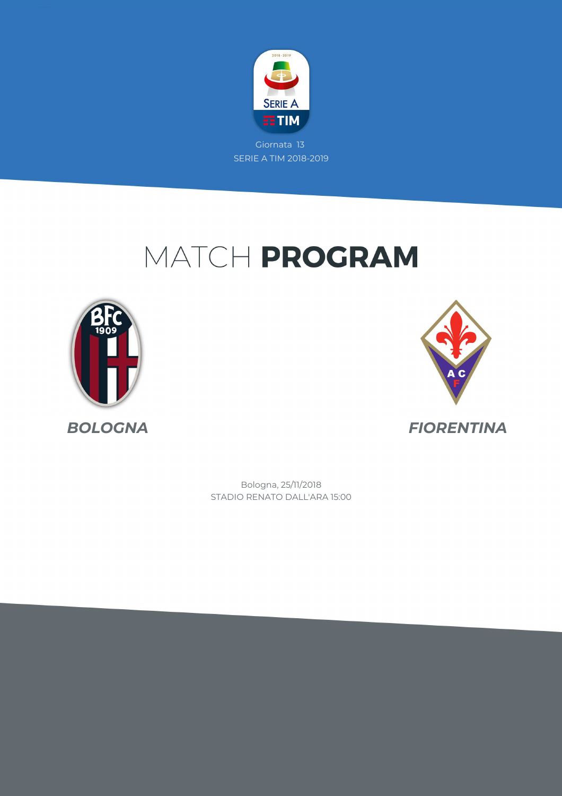

# MATCH PROGRAM





*BOLOGNA FIORENTINA*

STADIO RENATO DALL'ARA 15:00 Bologna, 25/11/2018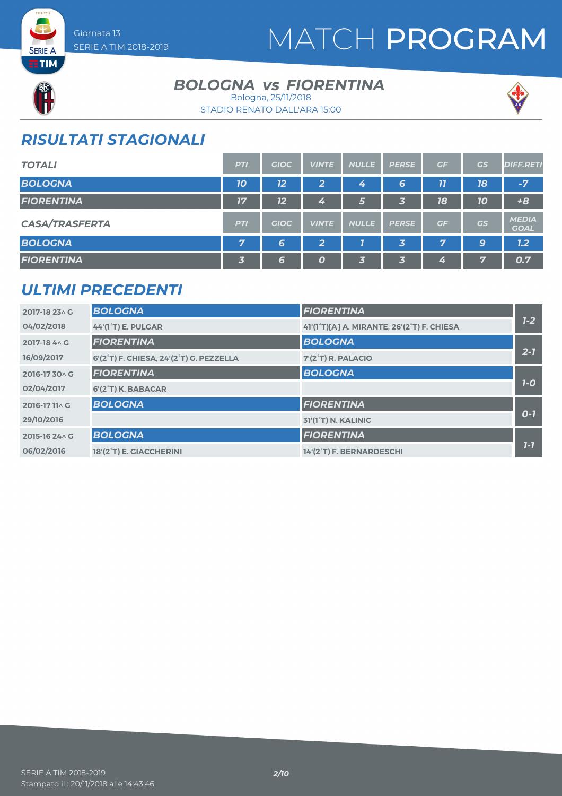

## MATCH PROGRAM



**SERIE A ETIM** 

### *BOLOGNA FIORENTINA vs* Bologna, 25/11/2018





## *RISULTATI STAGIONALI*

| <b>TOTALI</b>         | <b>PTI</b>              | <b>GIOC</b> | <b>VINTE</b>     | <b>NULLE</b> | <b>PERSE</b>            | GF | GS | <b>DIFF.RETI</b>            |
|-----------------------|-------------------------|-------------|------------------|--------------|-------------------------|----|----|-----------------------------|
| <b>BOLOGNA</b>        | 10                      | 12          | 2                | 4            | 6                       | 77 | 18 | $-7$                        |
| <b>FIORENTINA</b>     | 17                      | 12          | 4                | 5            | 3                       | 18 | 10 | $+8$                        |
| <b>CASA/TRASFERTA</b> | <b>PTI</b>              | <b>GIOC</b> | <b>VINTE</b>     | <b>NULLE</b> | <b>PERSE</b>            | GF | GS | <b>MEDIA</b><br><b>GOAL</b> |
| <b>BOLOGNA</b>        | 7                       | 6           | $\overline{2}$   |              | $\overline{\mathbf{3}}$ | 7  | 9  | 1.2                         |
| <b>FIORENTINA</b>     | $\overline{\mathbf{3}}$ | 6           | $\boldsymbol{o}$ | 3.           | $\overline{\mathbf{3}}$ | 4  | 7  | 0.7                         |

## *ULTIMI PRECEDENTI*

| 2017-18 23 \ G | <b>BOLOGNA</b>                          | <b>FIORENTINA</b>                          |         |
|----------------|-----------------------------------------|--------------------------------------------|---------|
| 04/02/2018     | 44'(1°T) E. PULGAR                      | 41'(1°T)[A] A. MIRANTE, 26'(2°T) F. CHIESA | $1 - 2$ |
| 2017-18 4 \ G  | <b>FIORENTINA</b>                       | <b>BOLOGNA</b>                             |         |
| 16/09/2017     | 6'(2°T) F. CHIESA, 24'(2°T) G. PEZZELLA | 7'(2°T) R. PALACIO                         | $2 - 7$ |
| 2016-1730 AG   | <b>FIORENTINA</b>                       | <b>BOLOGNA</b>                             |         |
| 02/04/2017     | 6'(2°T) K. BABACAR                      |                                            | $7-0$   |
| 2016-1711^C    | <b>BOLOGNA</b>                          | <b>FIORENTINA</b>                          |         |
| 29/10/2016     |                                         | 31'(1 <sup>°</sup> T) N. KALINIC           | $O-7$   |
| 2015-16 24 \ G | <b>BOLOGNA</b>                          | <b>FIORENTINA</b>                          |         |
| 06/02/2016     | 18'(2 <sup>°</sup> T) E. GIACCHERINI    | 14'(2°T) F. BERNARDESCHI                   | $1 - 7$ |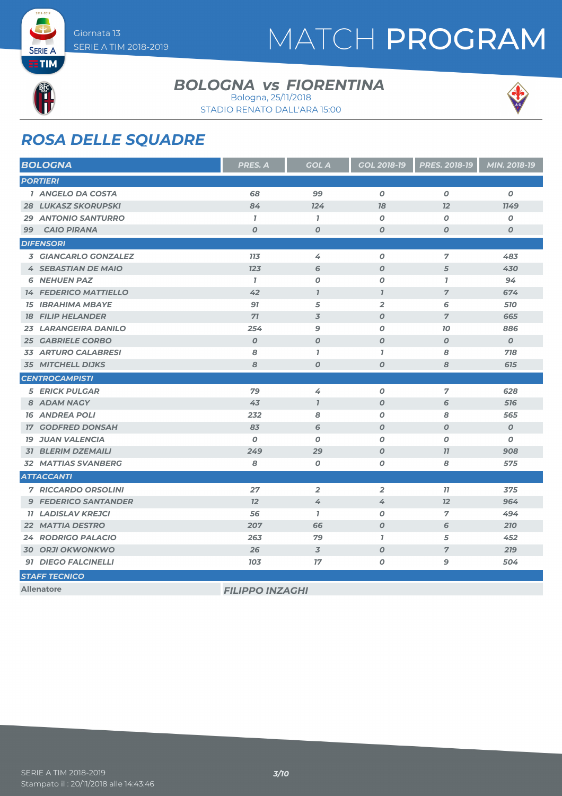# MATCH PROGRAM

**SERIE A ETIM** 

### *BOLOGNA FIORENTINA vs* Bologna, 25/11/2018





## *ROSA DELLE SQUADRE*

| <b>BOLOGNA</b>               | PRES. A                | <b>GOL A</b>        | GOL 2018-19      | PRES. 2018-19    | MIN. 2018-19     |
|------------------------------|------------------------|---------------------|------------------|------------------|------------------|
| <b>PORTIERI</b>              |                        |                     |                  |                  |                  |
| 1 ANGELO DA COSTA            | 68                     | 99                  | $\boldsymbol{0}$ | $\boldsymbol{O}$ | $\boldsymbol{o}$ |
| <b>28 LUKASZ SKORUPSKI</b>   | 84                     | 124                 | 78               | 12               | <b>1149</b>      |
| <b>29 ANTONIO SANTURRO</b>   | $\mathbf{7}$           | $\mathbf{7}$        | $\boldsymbol{O}$ | $\boldsymbol{O}$ | 0                |
| <b>CAIO PIRANA</b><br>99     | $\boldsymbol{0}$       | $\boldsymbol{O}$    | $\boldsymbol{O}$ | $\boldsymbol{O}$ | 0                |
| <b>DIFENSORI</b>             |                        |                     |                  |                  |                  |
| 3 GIANCARLO GONZALEZ         | <b>713</b>             | 4                   | $\boldsymbol{O}$ | 7                | 483              |
| <b>4 SEBASTIAN DE MAIO</b>   | 123                    | 6                   | $\boldsymbol{O}$ | 5                | 430              |
| <b>6 NEHUEN PAZ</b>          | $\mathbf{7}$           | $\boldsymbol{0}$    | $\boldsymbol{0}$ | $\mathbf{7}$     | 94               |
| <b>14 FEDERICO MATTIELLO</b> | 42                     | $\boldsymbol{\eta}$ | $\overline{1}$   | $\overline{7}$   | 674              |
| <b>15 IBRAHIMA MBAYE</b>     | 97                     | 5                   | $\overline{2}$   | 6                | 510              |
| <b>18 FILIP HELANDER</b>     | 71                     | $\overline{3}$      | $\boldsymbol{O}$ | $\overline{7}$   | 665              |
| 23 LARANGEIRA DANILO         | 254                    | 9                   | $\boldsymbol{O}$ | 70               | 886              |
| <b>25 GABRIELE CORBO</b>     | $\boldsymbol{O}$       | $\boldsymbol{O}$    | $\boldsymbol{O}$ | $\boldsymbol{O}$ | $\boldsymbol{0}$ |
| <b>33 ARTURO CALABRESI</b>   | 8                      | $\mathbf{7}$        | $\mathbf{7}$     | 8                | 718              |
| <b>35 MITCHELL DIJKS</b>     | 8                      | $\boldsymbol{o}$    | $\boldsymbol{O}$ | 8                | 615              |
| <b>CENTROCAMPISTI</b>        |                        |                     |                  |                  |                  |
| <b>5 ERICK PULGAR</b>        | 79                     | 4                   | 0                | $\overline{7}$   | 628              |
| 8 ADAM NAGY                  | 43                     | $\overline{1}$      | $\boldsymbol{O}$ | 6                | 516              |
| <b>16 ANDREA POLI</b>        | 232                    | 8                   | 0                | 8                | 565              |
| <b>GODFRED DONSAH</b><br>77  | 83                     | 6                   | $\boldsymbol{O}$ | $\boldsymbol{O}$ | $\boldsymbol{O}$ |
| <b>19 JUAN VALENCIA</b>      | $\boldsymbol{0}$       | $\boldsymbol{O}$    | $\boldsymbol{O}$ | O                | 0                |
| <b>31 BLERIM DZEMAILI</b>    | 249                    | 29                  | $\boldsymbol{O}$ | 77               | 908              |
| <b>32 MATTIAS SVANBERG</b>   | 8                      | $\boldsymbol{O}$    | $\boldsymbol{O}$ | 8                | 575              |
| <b>ATTACCANTI</b>            |                        |                     |                  |                  |                  |
| <b>7 RICCARDO ORSOLINI</b>   | 27                     | $\overline{2}$      | $\overline{2}$   | 11               | 375              |
| <b>9 FEDERICO SANTANDER</b>  | 12                     | 4                   | 4                | 12               | 964              |
| <b>11 LADISLAV KREJCI</b>    | 56                     | $\mathbf{7}$        | 0                | $\overline{7}$   | 494              |
| <b>22 MATTIA DESTRO</b>      | 207                    | 66                  | $\boldsymbol{o}$ | 6                | 210              |
| <b>24 RODRIGO PALACIO</b>    | 263                    | 79                  | $\mathbf{I}$     | 5                | 452              |
| <b>30 ORJI OKWONKWO</b>      | 26                     | $\overline{3}$      | $\boldsymbol{O}$ | $\overline{7}$   | 219              |
| 91 DIEGO FALCINELLI          | 103                    | 17                  | 0                | 9                | 504              |
| <b>STAFF TECNICO</b>         |                        |                     |                  |                  |                  |
| <b>Allenatore</b>            | <b>FILIPPO INZAGHI</b> |                     |                  |                  |                  |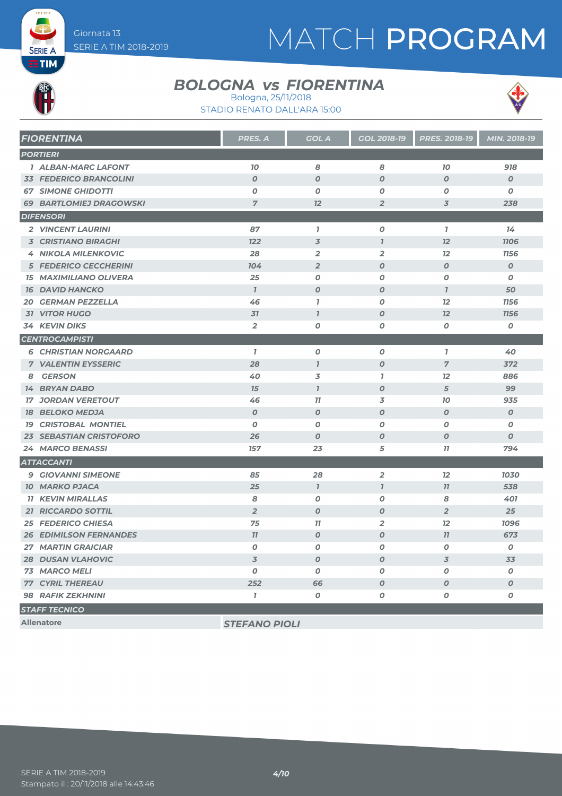# MATCH PROGRAM

**SERIE A ETIM** 

### *BOLOGNA FIORENTINA vs* Bologna, 25/11/2018





| <b>FIORENTINA</b>              | <b>PRES. A</b>   | <b>GOL A</b>             | <b>GOL 2018-19</b> | <b>PRES. 2018-19</b> | MIN. 2018-19     |
|--------------------------------|------------------|--------------------------|--------------------|----------------------|------------------|
| <b>PORTIERI</b>                |                  |                          |                    |                      |                  |
| <b>1 ALBAN-MARC LAFONT</b>     | 70               | 8                        | 8                  | 70                   | 918              |
| <b>33 FEDERICO BRANCOLINI</b>  | $\boldsymbol{O}$ | $\boldsymbol{O}$         | $\boldsymbol{0}$   | $\boldsymbol{O}$     | $\boldsymbol{0}$ |
| <b>67 SIMONE GHIDOTTI</b>      | 0                | $\boldsymbol{O}$         | $\boldsymbol{0}$   | $\boldsymbol{O}$     | 0                |
| <b>69 BARTLOMIEJ DRAGOWSKI</b> | $\overline{7}$   | 12                       | $\overline{2}$     | 3                    | 238              |
| <b>DIFENSORI</b>               |                  |                          |                    |                      |                  |
| 2 VINCENT LAURINI              | 87               | $\overline{1}$           | $\boldsymbol{0}$   | $\mathbf{7}$         | 14               |
| <b>3 CRISTIANO BIRAGHI</b>     | <b>122</b>       | $\overline{\mathcal{Z}}$ | $\mathbf{7}$       | 12                   | <b>1106</b>      |
| <b>4 NIKOLA MILENKOVIC</b>     | 28               | $\overline{2}$           | $\overline{2}$     | 12                   | 1156             |
| <b>5 FEDERICO CECCHERINI</b>   | 104              | $\overline{2}$           | $\boldsymbol{O}$   | $\boldsymbol{O}$     | $\overline{O}$   |
| <b>15 MAXIMILIANO OLIVERA</b>  | 25               | $\boldsymbol{O}$         | 0                  | $\boldsymbol{O}$     | 0                |
| <b>16 DAVID HANCKO</b>         | $\mathbf{I}$     | $\boldsymbol{O}$         | $\boldsymbol{0}$   | $\mathbf{I}$         | 50               |
| <b>20 GERMAN PEZZELLA</b>      | 46               | $\mathbf{7}$             | 0                  | 12                   | <b>1156</b>      |
| <b>31 VITOR HUGO</b>           | 31               | $\overline{1}$           | $\boldsymbol{O}$   | 12                   | 1156             |
| <b>34 KEVIN DIKS</b>           | $\overline{2}$   | $\boldsymbol{o}$         | 0                  | O                    | $\pmb{o}$        |
| <b>CENTROCAMPISTI</b>          |                  |                          |                    |                      |                  |
| <b>6 CHRISTIAN NORGAARD</b>    | $\overline{1}$   | $\boldsymbol{O}$         | 0                  | $\overline{1}$       | 40               |
| <b>7 VALENTIN EYSSERIC</b>     | 28               | $\overline{I}$           | $\boldsymbol{O}$   | $\overline{7}$       | 372              |
| 8 GERSON                       | 40               | 3                        | $\mathbf{I}$       | 12                   | 886              |
| <b>14 BRYAN DABO</b>           | 15               | $\mathbf{I}$             | $\boldsymbol{O}$   | 5                    | 99               |
| <b>17 JORDAN VERETOUT</b>      | 46               | 11                       | 3                  | 10                   | 935              |
| <b>18 BELOKO MEDJA</b>         | $\overline{O}$   | $\boldsymbol{O}$         | $\boldsymbol{0}$   | $\boldsymbol{O}$     | $\boldsymbol{0}$ |
| <b>19 CRISTOBAL MONTIEL</b>    | 0                | $\boldsymbol{O}$         | 0                  | $\boldsymbol{O}$     | 0                |
| <b>23 SEBASTIAN CRISTOFORO</b> | 26               | $\boldsymbol{O}$         | $\boldsymbol{O}$   | $\boldsymbol{O}$     | $\boldsymbol{O}$ |
| <b>24 MARCO BENASSI</b>        | 157              | 23                       | 5                  | 77                   | 794              |
| <b>ATTACCANTI</b>              |                  |                          |                    |                      |                  |
| <b>9 GIOVANNI SIMEONE</b>      | 85               | 28                       | $\overline{2}$     | 12                   | 1030             |
| <b>10 MARKO PJACA</b>          | 25               | $\mathbf{I}$             | $\mathbf{7}$       | 11                   | 538              |
| <b>11 KEVIN MIRALLAS</b>       | 8                | $\boldsymbol{O}$         | $\boldsymbol{o}$   | 8                    | 401              |
| 21 RICCARDO SOTTIL             | $\overline{2}$   | $\boldsymbol{o}$         | $\boldsymbol{0}$   | $\overline{2}$       | 25               |
| <b>25 FEDERICO CHIESA</b>      | 75               | 77                       | $\overline{2}$     | 12                   | 1096             |
| <b>26 EDIMILSON FERNANDES</b>  | 11               | $\boldsymbol{O}$         | $\boldsymbol{0}$   | 77                   | 673              |
| <b>27 MARTIN GRAICIAR</b>      | O                | $\boldsymbol{O}$         | 0                  | O                    | $\boldsymbol{o}$ |
| <b>28 DUSAN VLAHOVIC</b>       | 3                | $\boldsymbol{O}$         | $\boldsymbol{0}$   | 3                    | 33               |
| 73 MARCO MELI                  | O                | O                        | $\boldsymbol{0}$   | O                    | $\boldsymbol{o}$ |
| <b>77 CYRIL THEREAU</b>        | 252              | 66                       | $\boldsymbol{0}$   | $\boldsymbol{O}$     | $\boldsymbol{o}$ |
| <b>98 RAFIK ZEKHNINI</b>       | $\overline{1}$   | $\boldsymbol{O}$         | 0                  | 0                    | 0                |
| <b>STAFF TECNICO</b>           |                  |                          |                    |                      |                  |

**Allenatore** *STEFANO PIOLI*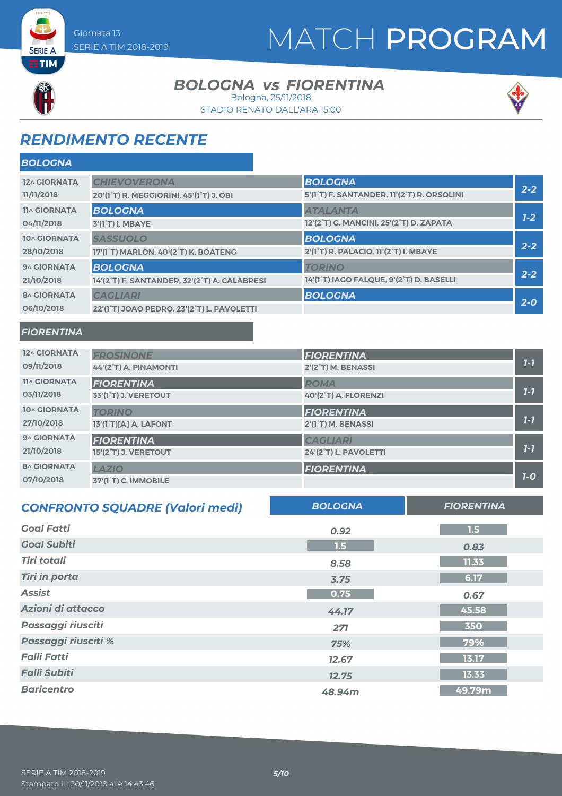# MATCH PROGRAM

**SERIE A ETIM** 

### *BOLOGNA FIORENTINA vs* Bologna, 25/11/2018

STADIO RENATO DALL'ARA 15:00



## *RENDIMENTO RECENTE*

| <b>BOLOGNA</b>      |                                                                   |                                            |         |
|---------------------|-------------------------------------------------------------------|--------------------------------------------|---------|
| 12^ GIORNATA        | <b>CHIEVOVERONA</b>                                               | <b>BOLOGNA</b>                             |         |
| 11/11/2018          | 20'(1 <sup>°</sup> T) R. MEGGIORINI, 45'(1 <sup>°</sup> T) J. OBI | 5'(1°T) F. SANTANDER, 11'(2°T) R. ORSOLINI | $2 - 2$ |
| <b>11^ GIORNATA</b> | <b>BOLOGNA</b>                                                    | <b>ATALANTA</b>                            |         |
| 04/11/2018          | 3'(1°T) I. MBAYE                                                  | 12'(2°T) G. MANCINI, 25'(2°T) D. ZAPATA    | $1 - 2$ |
| 10^ GIORNATA        | <b>SASSUOLO</b>                                                   | <b>BOLOGNA</b>                             | $2 - 2$ |
| 28/10/2018          | 17'(1°T) MARLON, 40'(2°T) K. BOATENG                              | 2'(1°T) R. PALACIO, 11'(2°T) I. MBAYE      |         |
| 9^ GIORNATA         | <b>BOLOGNA</b>                                                    | <b>TORINO</b>                              | $2 - 2$ |
| 21/10/2018          | 14'(2°T) F. SANTANDER, 32'(2°T) A. CALABRESI                      | 14'(1°T) IAGO FALQUE, 9'(2°T) D. BASELLI   |         |
| <b>8^ GIORNATA</b>  | <b>CAGLIARI</b>                                                   | <b>BOLOGNA</b>                             | $2 - 0$ |
| 06/10/2018          | 22'(1°T) JOAO PEDRO, 23'(2°T) L. PAVOLETTI                        |                                            |         |

### *FIORENTINA*

| 12^ GIORNATA        | <b>FROSINONE</b>                  | <b>FIORENTINA</b>               |         |
|---------------------|-----------------------------------|---------------------------------|---------|
| 09/11/2018          | 44'(2°T) A. PINAMONTI             | 2'(2°T) M. BENASSI              | $7 - 7$ |
| <b>11^ GIORNATA</b> | <b>FIORENTINA</b>                 | <b>ROMA</b>                     |         |
| 03/11/2018          | 33'(1°T) J. VERETOUT              | 40'(2°T) A. FLORENZI            | $7 - 7$ |
| <b>10^ GIORNATA</b> | <b>TORINO</b>                     | <b>FIORENTINA</b>               |         |
| 27/10/2018          | 13'(1°T)[A] A. LAFONT             | 2'(1 <sup>°</sup> T) M. BENASSI | $1 - 7$ |
| 9^ GIORNATA         | <b>FIORENTINA</b>                 | <b>CAGLIARI</b>                 |         |
| 21/10/2018          | 15'(2°T) J. VERETOUT              | 24'(2°T) L. PAVOLETTI           | $1 - 7$ |
| <b>8^ GIORNATA</b>  | <b>LAZIO</b>                      | <b>FIORENTINA</b>               |         |
| 07/10/2018          | 37'(1 <sup>°</sup> T) C. IMMOBILE |                                 | $7-0$   |

| <b>CONFRONTO SQUADRE (Valori medi)</b> | <b>BOLOGNA</b> | <b>FIORENTINA</b> |
|----------------------------------------|----------------|-------------------|
| <b>Goal Fatti</b>                      | 0.92           | 1.5               |
| <b>Goal Subiti</b>                     | 1.5            | 0.83              |
| <b>Tiri totali</b>                     | 8.58           | 11.33             |
| <b>Tiri in porta</b>                   | 3.75           | 6.17              |
| <b>Assist</b>                          | 0.75           | 0.67              |
| Azioni di attacco                      | 44.17          | 45.58             |
| Passaggi riusciti                      | 271            | 350               |
| Passaggi riusciti %                    | 75%            | 79%               |
| <b>Falli Fatti</b>                     | 12.67          | 13.17             |
| <b>Falli Subiti</b>                    | 12.75          | 13.33             |
| <b>Baricentro</b>                      | 48.94m         | 49.79m            |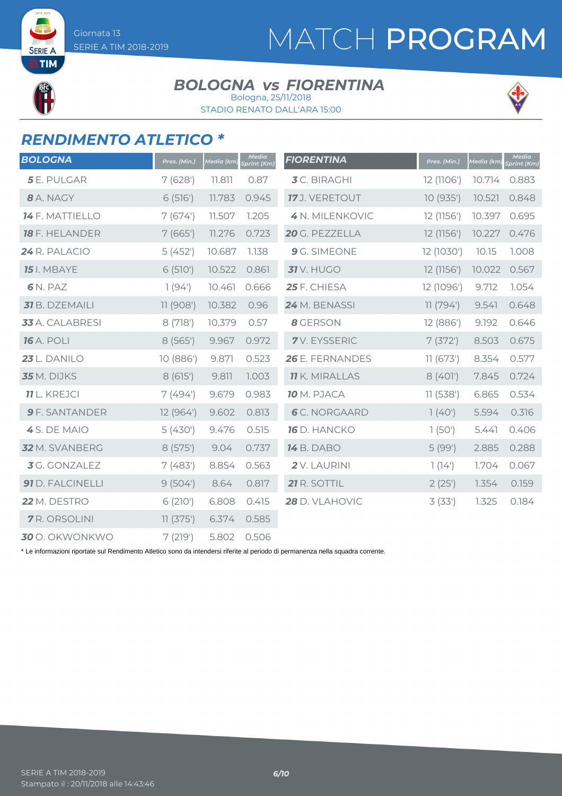# MATCH PROGRAM

**SERIE TIM** 

### *BOLOGNA FIORENTINA vs* Bologna, 25/11/2018

STADIO RENATO DALL'ARA 15:00



## *RENDIMENTO ATLETICO \**

| <b>BOLOGNA</b>        | Pres. (Min.) | Media (km) | <b>Media</b><br>print (Km) | <b>FIORENTINA</b>     | Pres. (Min.) | Media (km) | <b>Media</b><br>print (Km) |
|-----------------------|--------------|------------|----------------------------|-----------------------|--------------|------------|----------------------------|
| <b>5</b> E. PULGAR    | 7(628)       | 11.811     | 0.87                       | <b>3</b> C. BIRAGHI   | 12 (1106')   | 10.714     | 0.883                      |
| 8 A. NAGY             | 6(516)       | 11.783     | 0.945                      | 17 J. VERETOUT        | 10 (935')    | 10.521     | 0.848                      |
| 14 F. MATTIELLO       | 7(674)       | 11.507     | 1.205                      | 4 N. MILENKOVIC       | 12 (1156')   | 10.397     | 0.695                      |
| <b>18</b> F. HELANDER | 7(665)       | 11.276     | 0.723                      | 20 G. PEZZELLA        | 12 (1156')   | 10.227     | 0.476                      |
| 24 R. PALACIO         | 5(452)       | 10.687     | 1.138                      | 9 G. SIMEONE          | 12 (1030')   | 10.15      | 1.008                      |
| <b>15</b> I. MBAYE    | 6(510)       | 10.522     | 0.861                      | <b>31</b> V. HUGO     | 12 (1156')   | 10.022     | 0.567                      |
| 6N. PAZ               | 1(94)        | 10.461     | 0.666                      | 25 F. CHIESA          | 12 (1096')   | 9.712      | 1.054                      |
| 31 B. DZEMAILI        | 11(908)      | 10.382     | 0.96                       | 24 M. BENASSI         | 11(794)      | 9.541      | 0.648                      |
| 33 A. CALABRESI       | 8(718)       | 10.379     | 0.57                       | 8 GERSON              | 12 (886')    | 9.192      | 0.646                      |
| <b>16</b> A. POLI     | 8(565)       | 9.967      | 0.972                      | 7V. EYSSERIC          | 7(372)       | 8.503      | 0.675                      |
| 23 L. DANILO          | 10 (886')    | 9.871      | 0.523                      | 26 E. FERNANDES       | 11(673)      | 8.354      | 0.577                      |
| 35 M. DIJKS           | 8(615)       | 9.811      | 1.003                      | <b>11</b> K. MIRALLAS | 8(401)       | 7.845      | 0.724                      |
| <b>11</b> L. KREJCI   | 7(494)       | 9.679      | 0.983                      | 10 M. PJACA           | 11(538)      | 6.865      | 0.534                      |
| <b>9</b> F. SANTANDER | 12 (964')    | 9.602      | 0.813                      | <b>6</b> C. NORGAARD  | 1(40)        | 5.594      | 0.316                      |
| 4 S. DE MAIO          | 5(430)       | 9.476      | 0.515                      | 16 D. HANCKO          | 1(50')       | 5.441      | 0.406                      |
| 32 M. SVANBERG        | 8(575)       | 9.04       | 0.737                      | <b>14</b> B. DABO     | 5(99)        | 2.885      | 0.288                      |
| 3 G. GONZALEZ         | 7(483)       | 8.854      | 0.563                      | 2V. LAURINI           | 1(14)        | 1.704      | 0.067                      |
| 91 D. FALCINELLI      | 9(504)       | 8.64       | 0.817                      | 21 R. SOTTIL          | 2(25)        | 1.354      | 0.159                      |
| 22 M. DESTRO          | 6(210)       | 6.808      | 0.415                      | 28 D. VLAHOVIC        | 3(33)        | 1.325      | 0.184                      |
| <b>7</b> R. ORSOLINI  | 11(375)      | 6.374      | 0.585                      |                       |              |            |                            |
| <b>30</b> O. OKWONKWO | 7(219)       | 5.802      | 0.506                      |                       |              |            |                            |

\* Le informazioni riportate sul Rendimento Atletico sono da intendersi riferite al periodo di permanenza nella squadra corrente.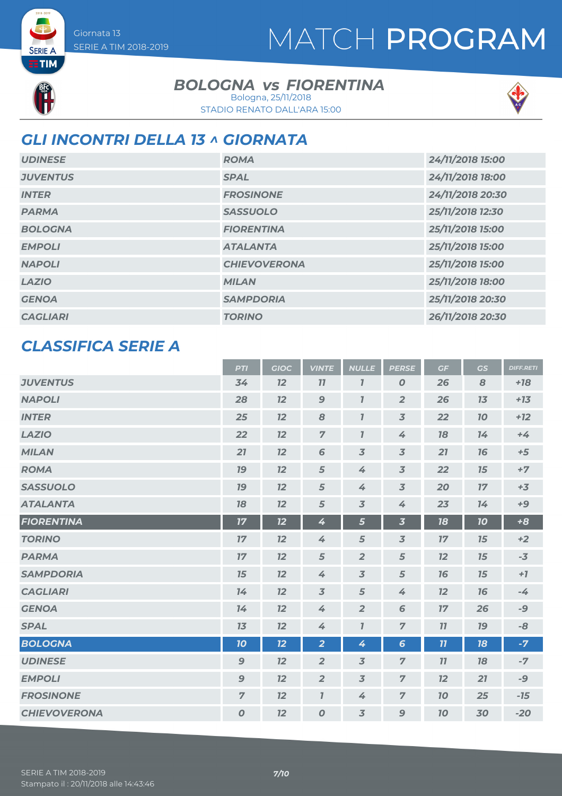# MATCH PROGRAM



**SERIE A**  $ETIM$ 

### *BOLOGNA FIORENTINA vs*

STADIO RENATO DALL'ARA 15:00 Bologna, 25/11/2018



## *GLI INCONTRI DELLA 13 ^ GIORNATA*

| <b>UDINESE</b>  | <b>ROMA</b>         | 24/11/2018 15:00 |
|-----------------|---------------------|------------------|
| <b>JUVENTUS</b> | <b>SPAL</b>         | 24/11/2018 18:00 |
| <b>INTER</b>    | <b>FROSINONE</b>    | 24/11/2018 20:30 |
| <b>PARMA</b>    | <b>SASSUOLO</b>     | 25/11/2018 12:30 |
| <b>BOLOGNA</b>  | <b>FIORENTINA</b>   | 25/11/2018 15:00 |
| <b>EMPOLI</b>   | <b>ATALANTA</b>     | 25/11/2018 15:00 |
| <b>NAPOLI</b>   | <b>CHIEVOVERONA</b> | 25/11/2018 15:00 |
| <b>LAZIO</b>    | <b>MILAN</b>        | 25/11/2018 18:00 |
| <b>GENOA</b>    | <b>SAMPDORIA</b>    | 25/11/2018 20:30 |
| <b>CAGLIARI</b> | <b>TORINO</b>       | 26/11/2018 20:30 |

### *CLASSIFICA SERIE A*

|                     | <b>PTI</b>       | <b>GIOC</b> | <b>VINTE</b>     | <b>NULLE</b>            | <b>PERSE</b>             | GF | GS        | <b>DIFF.RETI</b> |
|---------------------|------------------|-------------|------------------|-------------------------|--------------------------|----|-----------|------------------|
| <b>JUVENTUS</b>     | 34               | 12          | 77               | $\overline{\mathbf{I}}$ | $\boldsymbol{o}$         | 26 | 8         | $+18$            |
| <b>NAPOLI</b>       | 28               | 12          | $\boldsymbol{9}$ | $\overline{I}$          | $\overline{2}$           | 26 | 13        | $+13$            |
| <b>INTER</b>        | 25               | 12          | 8                | $\overline{I}$          | $\overline{3}$           | 22 | 70        | $+12$            |
| <b>LAZIO</b>        | 22               | 12          | $\overline{7}$   | $\overline{I}$          | 4                        | 78 | 14        | $+4$             |
| <b>MILAN</b>        | 21               | 12          | $6\phantom{1}6$  | $\overline{3}$          | $\overline{3}$           | 21 | 16        | $+5$             |
| <b>ROMA</b>         | <b>19</b>        | 12          | $\sqrt{5}$       | 4                       | $\overline{3}$           | 22 | 15        | $+7$             |
| <b>SASSUOLO</b>     | 19               | 12          | 5                | 4                       | $\overline{3}$           | 20 | 17        | $+3$             |
| <b>ATALANTA</b>     | 18               | 12          | 5                | $\overline{3}$          | 4                        | 23 | 14        | $+9$             |
| <b>FIORENTINA</b>   | 17               | 12          | 4                | 5                       | $\overline{\mathbf{3}}$  | 18 | 10        | $+8$             |
| <b>TORINO</b>       | 17               | 12          | 4                | $\sqrt{5}$              | $\overline{\mathcal{S}}$ | 17 | 15        | $+2$             |
| <b>PARMA</b>        | 17               | 12          | 5                | $\overline{2}$          | 5                        | 12 | 15        | $-3$             |
| <b>SAMPDORIA</b>    | 15               | 12          | 4                | $\overline{3}$          | 5                        | 76 | 15        | $+7$             |
| <b>CAGLIARI</b>     | 14               | 12          | $\overline{3}$   | 5                       | 4                        | 12 | 16        | $-4$             |
| <b>GENOA</b>        | 14               | 12          | 4                | $\overline{2}$          | 6                        | 17 | 26        | -9               |
| <b>SPAL</b>         | 13               | 12          | 4                | $\overline{I}$          | $\overline{z}$           | 11 | <b>19</b> | -8               |
| <b>BOLOGNA</b>      | 10               | 12          | $\overline{2}$   | 4                       | $6\phantom{1}6$          | 11 | 18        | $-7$             |
| <b>UDINESE</b>      | $\boldsymbol{9}$ | 12          | $\overline{2}$   | $\overline{3}$          | $\overline{z}$           | 11 | 18        | $-7$             |
| <b>EMPOLI</b>       | $\mathbf{9}$     | 12          | $\overline{2}$   | $\overline{3}$          | $\overline{7}$           | 12 | 21        | -9               |
| <b>FROSINONE</b>    | $\overline{7}$   | 12          | $\overline{I}$   | 4                       | $\overline{7}$           | 10 | 25        | $-15$            |
| <b>CHIEVOVERONA</b> | $\boldsymbol{o}$ | 12          | $\boldsymbol{0}$ | $\overline{3}$          | $\mathbf{9}$             | 10 | 30        | $-20$            |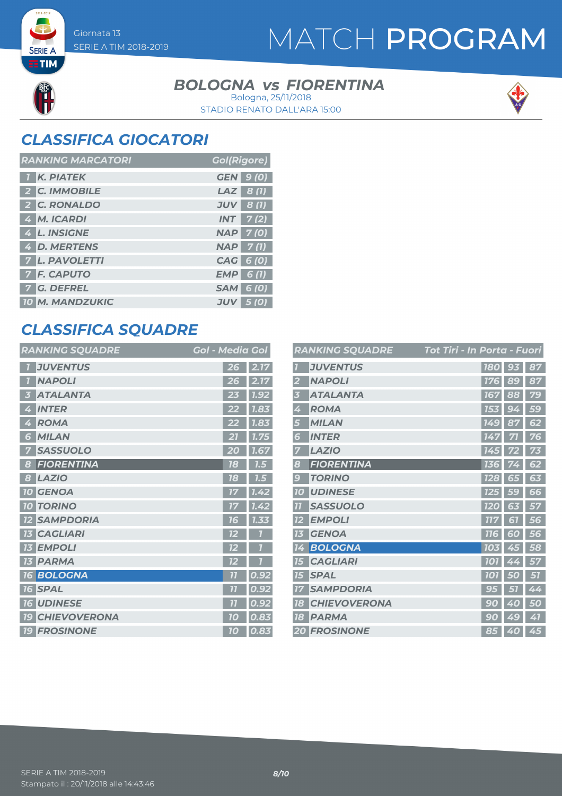**SERIE A ETIM** 

## MATCH PROGRAM

### *BOLOGNA FIORENTINA vs* Bologna, 25/11/2018

STADIO RENATO DALL'ARA 15:00



## *CLASSIFICA GIOCATORI*

| <b>RANKING MARCATORI</b> | <b>Gol(Rigore)</b> |
|--------------------------|--------------------|
| <b>K. PIATEK</b>         | <b>GEN</b> 9 (0)   |
| 2 C. IMMOBILE            | $LAZ$ 8(1)         |
| 2 C. RONALDO             | $JUV$ 8 (1)        |
| 4 M. ICARDI              | $INT$ 7(2)         |
| 4 L. INSIGNE             | <b>NAP 7(0)</b>    |
| 4 D. MERTENS             | $NAP$ 7(1)         |
| <b>7 L. PAVOLETTI</b>    | CAG 6 (0)          |
| <b>7 F. CAPUTO</b>       | $EMP$ 6(1)         |
| 7 G. DEFREL              | <b>SAM 6 (0)</b>   |
| <b>10 M. MANDZUKIC</b>   | $JUV$ 5 (0)        |

## *CLASSIFICA SQUADRE*

| <b>RANKING SQUADRE</b>            | <b>Gol - Media Gol</b>            |
|-----------------------------------|-----------------------------------|
| <b>JUVENTUS</b>                   | 2.17<br>26                        |
| <b>NAPOLI</b>                     | 2.17<br>26                        |
| <b>ATALANTA</b><br>5              | 1.92<br>23                        |
| <b>INTER</b><br>4                 | 7.83<br>22                        |
| <b>ROMA</b><br>4                  | 1.83<br>22                        |
| <b>MILAN</b><br>6                 | 1.75                              |
| <b>SASSUOLO</b><br>7              | 20<br>1.67                        |
| <b>FIORENTINA</b><br>8            | 78<br>7.5                         |
| <b>LAZIO</b><br>8                 | 18<br>7.5                         |
| <b>10 GENOA</b>                   | 7.42<br>17                        |
| <b>TORINO</b><br>10 <sup>1</sup>  | 1.42                              |
| <b>SAMPDORIA</b>                  | 1.33<br>16                        |
| <b>CAGLIARI</b><br>73             | 12                                |
| <b>EMPOLI</b><br>13 <sup>7</sup>  | 12                                |
| <b>13 PARMA</b>                   | 72                                |
| <b>16 BOLOGNA</b>                 | $\overline{\overline{1}}$<br>0.92 |
| <b>16 SPAL</b>                    | $\overline{11}$<br>0.92           |
| <b>UDINESE</b><br>16 <sup>1</sup> | 0.92<br>77                        |
| <b>CHIEVOVERONA</b><br><b>19</b>  | 0.83<br>70                        |
| <b>19 FROSINONE</b>               | 0.83<br>10                        |

|                | <b>RANKING SQUADRE</b> | Tot Tiri - In Porta - Fuori |        |    |
|----------------|------------------------|-----------------------------|--------|----|
|                | <b>JUVENTUS</b>        | <b>180</b>                  | 93     | 87 |
| 2              | <b>NAPOLI</b>          | 176                         | 89     | 87 |
| 3              | <b>ATALANTA</b>        | 167                         | 88     | 79 |
| 4              | <b>ROMA</b>            | 153                         | 9<br>4 | 59 |
| 5              | <b>MILAN</b>           | <b>149</b>                  | 87     | 62 |
| 6              | <b>INTER</b>           | 147                         | 71     | 76 |
|                | <b>LAZIO</b>           | 145                         |        | 73 |
| 8              | <b>FIORENTINA</b>      | 136                         |        | 62 |
| 9              | <b>TORINO</b>          | <b>128</b>                  | 65     | 63 |
| <b>10</b>      | <b>UDINESE</b>         | 125                         | 59     | 66 |
| $\overline{1}$ | <b>SASSUOLO</b>        | <b>120</b>                  | 63     | 57 |
| 12             | <b>EMPOLI</b>          | <b>777</b>                  | 61     | 56 |
| 13             | <b>GENOA</b>           | <b>116</b>                  | 60     | 56 |
| 14             | <b>BOLOGNA</b>         | 103                         | 45     | 58 |
| 15             | <b>CAGLIARI</b>        | <b>101</b>                  | 4<br>4 | 57 |
| 15             | <b>SPAL</b>            | <b>101</b>                  | O      | 57 |
| 77             | <b>SAMPDORIA</b>       | 95                          | 51     | 44 |
| 18             | <b>CHIEVOVERONA</b>    | 9<br>0                      | Ą<br>O | 50 |
| 78             | <b>PARMA</b>           | 90                          | 49     | 41 |
|                | <b>20 FROSINONE</b>    | 85                          | 40     | 45 |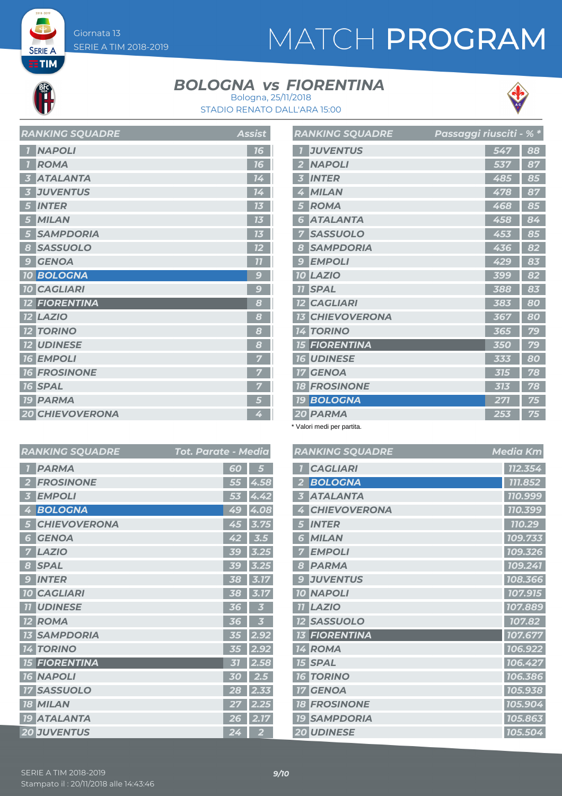# MATCH PROGRAM

**SERIE A**  $ETIM$ 

### *BOLOGNA FIORENTINA vs*



STADIO RENATO DALL'ARA 15:00 Bologna, 25/11/2018

|                         | <b>AARAHU JUULULU</b>  | Assist          |
|-------------------------|------------------------|-----------------|
| $\overline{1}$          | <b>NAPOLI</b>          | 16              |
| $\overline{1}$          | <b>ROMA</b>            | 16              |
| $\overline{\mathbf{3}}$ | <b>ATALANTA</b>        | 14 <sup>°</sup> |
| 3                       | <b>JUVENTUS</b>        | 14              |
| 5                       | <b>INTER</b>           | 13              |
| 5 <sup>5</sup>          | <b>MILAN</b>           | 13              |
| $\overline{5}$          | <b>SAMPDORIA</b>       | 13              |
| $\boldsymbol{8}$        | <b>SASSUOLO</b>        | 12              |
| 9                       | <b>GENOA</b>           | $\overline{11}$ |
|                         | <b>10 BOLOGNA</b>      | $\overline{c}$  |
|                         | <b>10 CAGLIARI</b>     | 9               |
|                         | <b>12 FIORENTINA</b>   | 8               |
|                         | <b>12 LAZIO</b>        | 8               |
|                         | <b>12 TORINO</b>       | 8               |
|                         | <b>12 UDINESE</b>      | 8               |
|                         | <b>16 EMPOLI</b>       | 7               |
|                         | <b>16 FROSINONE</b>    | 7               |
|                         | <b>16 SPAL</b>         |                 |
|                         | <b>19 PARMA</b>        | 5               |
|                         | <b>20 CHIEVOVERONA</b> | 4               |

*RANKING SQUADRE Assist*

|                         | <b>RANKING SQUADRE</b> | Passaggi riusciti - % * |     |    |
|-------------------------|------------------------|-------------------------|-----|----|
| $\overline{1}$          | <b>JUVENTUS</b>        |                         | 547 | 88 |
| $\overline{\mathbf{z}}$ | <b>NAPOLI</b>          |                         | 537 | 87 |
| 3                       | <b>INTER</b>           |                         | 485 | 85 |
| 4                       | <b>MILAN</b>           |                         | 478 | 87 |
| 5                       | <b>ROMA</b>            |                         | 468 | 85 |
| 6                       | <b>ATALANTA</b>        |                         | 458 | 84 |
| 7                       | <b>SASSUOLO</b>        |                         | 453 | 85 |
| 8                       | <b>SAMPDORIA</b>       |                         | 436 | 82 |
| $\mathcal{G}$           | <b>EMPOLI</b>          |                         | 429 | 83 |
|                         | <b>10 LAZIO</b>        |                         | 399 | 82 |
|                         | <b>TI SPAL</b>         |                         | 388 | 83 |
|                         | <b>12 CAGLIARI</b>     |                         | 383 | 80 |
| 13 <sup>1</sup>         | <b>CHIEVOVERONA</b>    |                         | 367 | 80 |
|                         | <b>14 TORINO</b>       |                         | 365 | 79 |
|                         | <b>15 FIORENTINA</b>   |                         | 350 | 79 |
|                         | <b>16 UDINESE</b>      |                         | 333 | 80 |
| 17 <sup>1</sup>         | <b>GENOA</b>           |                         | 315 | 78 |
|                         | <b>18 FROSINONE</b>    |                         | 313 | 78 |
| 79                      | <b>BOLOGNA</b>         |                         | 271 | 75 |
|                         | 20 PARMA               |                         | 253 | 75 |

\* Valori medi per partita.

| <b>RANKING SQUADRE</b>   | <b>Media Km</b> |
|--------------------------|-----------------|
| <b>CAGLIARI</b>          | 112.354         |
| <b>BOLOGNA</b>           | 111.852         |
| <b>ATALANTA</b>          | 110.999         |
| <b>CHIEVOVERONA</b><br>Ą | 110.399         |
| <b>INTER</b><br>5        | 110.29          |
| <b>MILAN</b><br>5        | 109.733         |
| <b>EMPOLI</b>            | 109.326         |
| <b>PARMA</b><br>8        | 109.241         |
| <b>JUVENTUS</b><br>9     | 108.366         |
| <b>10 NAPOLI</b>         | 107.915         |
| <b>LAZIO</b>             | 107.889         |
| <b>SASSUOLO</b>          | 107.82          |
| <b>13 FIORENTINA</b>     | 107.677         |
| 14 ROMA                  | 106.922         |
| <b>15 SPAL</b>           | 106.427         |
| <b>TORINO</b><br>76      | 106.386         |
| <b>GENOA</b>             | 105.938         |
| <b>18 FROSINONE</b>      | 105.904         |
| <b>19 SAMPDORIA</b>      | 105.863         |
| <b>20 UDINESE</b>        | 105.504         |

|                   | <b>RANKING SQUADRE</b> | Tot. Parate - Media |    |                |
|-------------------|------------------------|---------------------|----|----------------|
| $\overline{1}$    | <b>PARMA</b>           |                     | 60 | 5              |
| 2                 | <b>FROSINONE</b>       |                     | 55 | 4.58           |
| 3                 | <b>EMPOLI</b>          |                     | 53 | 4.42           |
| 4                 | <b>BOLOGNA</b>         |                     | 49 | 4.08           |
| 5                 | <b>CHIEVOVERONA</b>    |                     | 45 | 3.75           |
| 6                 | <b>GENOA</b>           |                     | 42 | 3.5            |
| 7                 | <b>LAZIO</b>           |                     | 39 | 3.25           |
| 8                 | <b>SPAL</b>            |                     | 39 | 3.25           |
| 9                 | <b>INTER</b>           |                     | 38 | 3.17           |
|                   | <b>10 CAGLIARI</b>     |                     | 38 | 3.17           |
| <b>77</b>         | <b>UDINESE</b>         |                     | 36 | 3              |
| $12 \overline{ }$ | <b>ROMA</b>            |                     | 36 | 3              |
| 13                | <b>SAMPDORIA</b>       |                     | 35 | 2.92           |
|                   | <b>14 TORINO</b>       |                     | 35 | 2.92           |
|                   | <b>15 FIORENTINA</b>   |                     | 31 | 2.58           |
|                   | <b>16 NAPOLI</b>       |                     | 30 | 2.5            |
| 17                | <b>SASSUOLO</b>        |                     | 28 | 2.33           |
|                   | <b>18 MILAN</b>        |                     | 27 | 2.25           |
| <b>19</b>         | <b>ATALANTA</b>        |                     | 26 | 2.17           |
|                   | <b>20 JUVENTUS</b>     |                     | 24 | $\overline{2}$ |